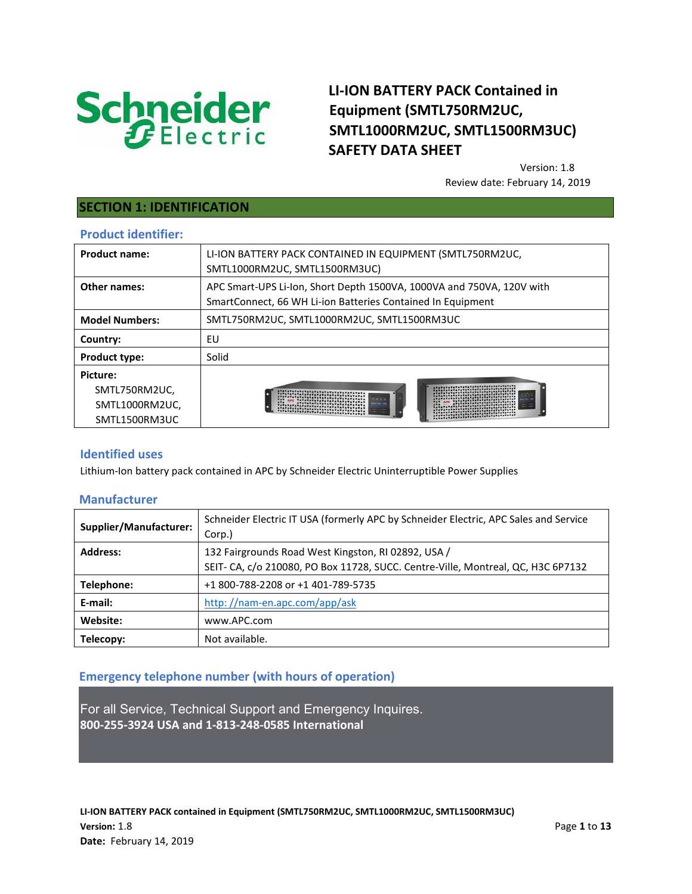

# **LI-ION BATTERY PACK Contained in Equipment (SMTL750RM2UC, SMTL1000RM2UC, SMTL1500RM3UC) SAFETY DATA SHEET**

Version: 1.8 Review date: February 14, 2019

## **SECTION 1: IDENTIFICATION**

### **Product identifier:**

| <b>Product name:</b>  | LI-ION BATTERY PACK CONTAINED IN EQUIPMENT (SMTL750RM2UC,<br>SMTL1000RM2UC, SMTL1500RM3UC)                                                                                                                                                          |  |
|-----------------------|-----------------------------------------------------------------------------------------------------------------------------------------------------------------------------------------------------------------------------------------------------|--|
| Other names:          | APC Smart-UPS Li-Ion, Short Depth 1500VA, 1000VA and 750VA, 120V with<br>SmartConnect, 66 WH Li-ion Batteries Contained In Equipment                                                                                                                |  |
| <b>Model Numbers:</b> | SMTL750RM2UC, SMTL1000RM2UC, SMTL1500RM3UC                                                                                                                                                                                                          |  |
| Country:              | EU                                                                                                                                                                                                                                                  |  |
| <b>Product type:</b>  | Solid                                                                                                                                                                                                                                               |  |
| Picture:              |                                                                                                                                                                                                                                                     |  |
| SMTL750RM2UC,         | AVAVAVAVAVAVAVAVAVAVAVAVAVAVAVAVA<br>. .<br>171717474<br>VAVAVAVAVAVAVAVAVAVAVAVAV<br>APC TATATATATATATATATATA<br>AVAVAVAVAVAVAVAVAVA<br><b>ATA</b><br>ATATATATATATATATATATATATATA<br>ATATATATATATATATATAT<br>TATATATATATATATATATATATATATATATATATAT |  |
| SMTL1000RM2UC,        |                                                                                                                                                                                                                                                     |  |
| SMTL1500RM3UC         | VAVAVAVAVAVAVAVAVAVAVAVAVAVAVAVAVA                                                                                                                                                                                                                  |  |
|                       |                                                                                                                                                                                                                                                     |  |

### **Identified uses**

Lithium-Ion battery pack contained in APC by Schneider Electric Uninterruptible Power Supplies

### **Manufacturer**

| Supplier/Manufacturer: | Schneider Electric IT USA (formerly APC by Schneider Electric, APC Sales and Service<br>Corp.) |
|------------------------|------------------------------------------------------------------------------------------------|
| <b>Address:</b>        | 132 Fairgrounds Road West Kingston, RJ 02892, USA /                                            |
|                        | SEIT- CA, c/o 210080, PO Box 11728, SUCC. Centre-Ville, Montreal, QC, H3C 6P7132               |
| Telephone:             | +1 800-788-2208 or +1 401-789-5735                                                             |
| E-mail:                | http://nam-en.apc.com/app/ask                                                                  |
| Website:               | www.APC.com                                                                                    |
| Telecopy:              | Not available.                                                                                 |

## **Emergency telephone number (with hours of operation)**

For all Service, Technical Support and Emergency Inquires. **800-255-3924 USA and 1-813-248-0585 International**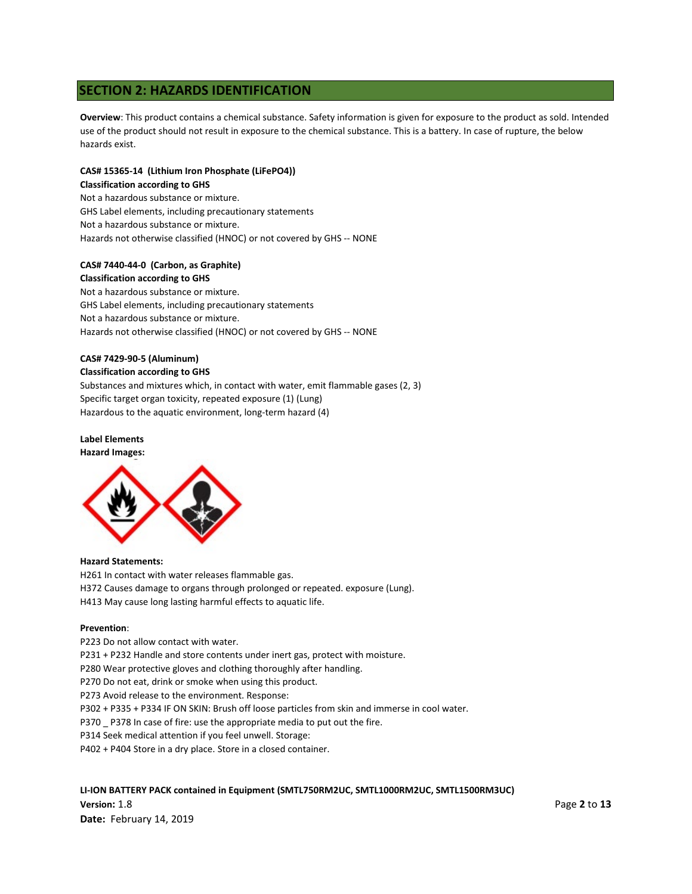## **SECTION 2: HAZARDS IDENTIFICATION**

**Overview**: This product contains a chemical substance. Safety information is given for exposure to the product as sold. Intended use of the product should not result in exposure to the chemical substance. This is a battery. In case of rupture, the below hazards exist.

#### **CAS# 15365-14 (Lithium Iron Phosphate (LiFePO4)) Classification according to GHS**

Not a hazardous substance or mixture. GHS Label elements, including precautionary statements Not a hazardous substance or mixture. Hazards not otherwise classified (HNOC) or not covered by GHS -- NONE

# **CAS# 7440-44-0 (Carbon, as Graphite)**

### **Classification according to GHS**

Not a hazardous substance or mixture. GHS Label elements, including precautionary statements Not a hazardous substance or mixture. Hazards not otherwise classified (HNOC) or not covered by GHS -- NONE

## **CAS# 7429-90-5 (Aluminum)**

#### **Classification according to GHS**

Substances and mixtures which, in contact with water, emit flammable gases (2, 3) Specific target organ toxicity, repeated exposure (1) (Lung) Hazardous to the aquatic environment, long-term hazard (4)

#### **Label Elements**

#### **Hazard Images:**



#### **Hazard Statements:**

H261 In contact with water releases flammable gas.

- H372 Causes damage to organs through prolonged or repeated. exposure (Lung).
- H413 May cause long lasting harmful effects to aquatic life.

#### **Prevention**:

P223 Do not allow contact with water.

P231 + P232 Handle and store contents under inert gas, protect with moisture.

- P280 Wear protective gloves and clothing thoroughly after handling.
- P270 Do not eat, drink or smoke when using this product.
- P273 Avoid release to the environment. Response:

P302 + P335 + P334 IF ON SKIN: Brush off loose particles from skin and immerse in cool water.

- P370 \_ P378 In case of fire: use the appropriate media to put out the fire.
- P314 Seek medical attention if you feel unwell. Storage:
- P402 + P404 Store in a dry place. Store in a closed container.

### **LI-ION BATTERY PACK contained in Equipment (SMTL750RM2UC, SMTL1000RM2UC, SMTL1500RM3UC)**

**Version:** 1.8 Page **2** to **13 Date:** February 14, 2019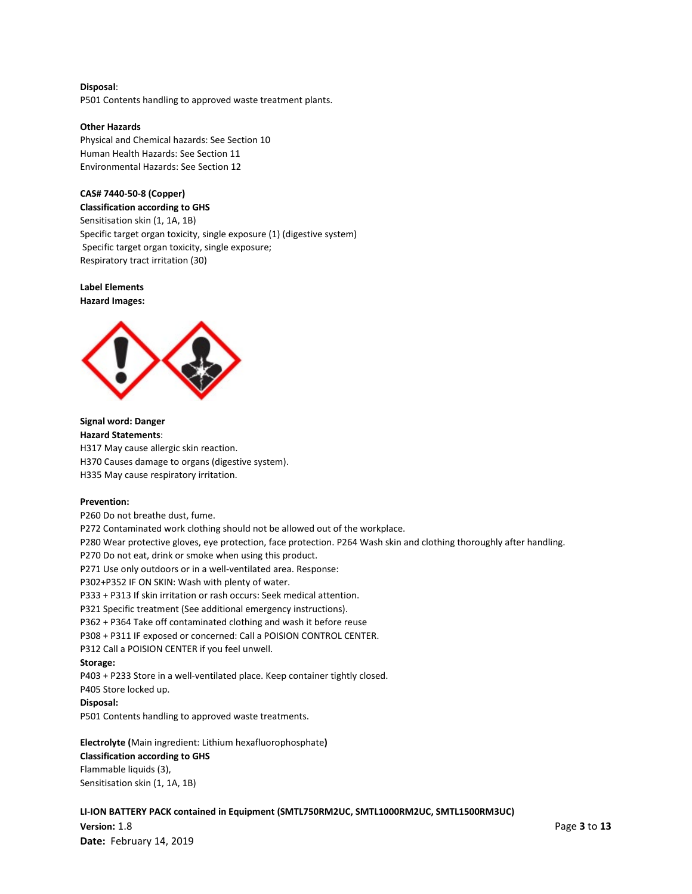#### **Disposal**:

P501 Contents handling to approved waste treatment plants.

#### **Other Hazards**

Physical and Chemical hazards: See Section 10 Human Health Hazards: See Section 11 Environmental Hazards: See Section 12

### **CAS# 7440-50-8 (Copper)**

**Classification according to GHS**  Sensitisation skin (1, 1A, 1B) Specific target organ toxicity, single exposure (1) (digestive system) Specific target organ toxicity, single exposure; Respiratory tract irritation (30)

**Label Elements Hazard Images:**



**Signal word: Danger Hazard Statements**: H317 May cause allergic skin reaction. H370 Causes damage to organs (digestive system). H335 May cause respiratory irritation.

#### **Prevention:**

P260 Do not breathe dust, fume. P272 Contaminated work clothing should not be allowed out of the workplace. P280 Wear protective gloves, eye protection, face protection. P264 Wash skin and clothing thoroughly after handling. P270 Do not eat, drink or smoke when using this product. P271 Use only outdoors or in a well-ventilated area. Response: P302+P352 IF ON SKIN: Wash with plenty of water. P333 + P313 If skin irritation or rash occurs: Seek medical attention. P321 Specific treatment (See additional emergency instructions). P362 + P364 Take off contaminated clothing and wash it before reuse P308 + P311 IF exposed or concerned: Call a POISION CONTROL CENTER. P312 Call a POISION CENTER if you feel unwell. **Storage:** P403 + P233 Store in a well-ventilated place. Keep container tightly closed. P405 Store locked up. **Disposal:** P501 Contents handling to approved waste treatments.

#### **Electrolyte (**Main ingredient: Lithium hexafluorophosphate**)**

#### **Classification according to GHS**  Flammable liquids (3),

Sensitisation skin (1, 1A, 1B)

**LI-ION BATTERY PACK contained in Equipment (SMTL750RM2UC, SMTL1000RM2UC, SMTL1500RM3UC)**

**Version:** 1.8 Page **3** to **13 Date:** February 14, 2019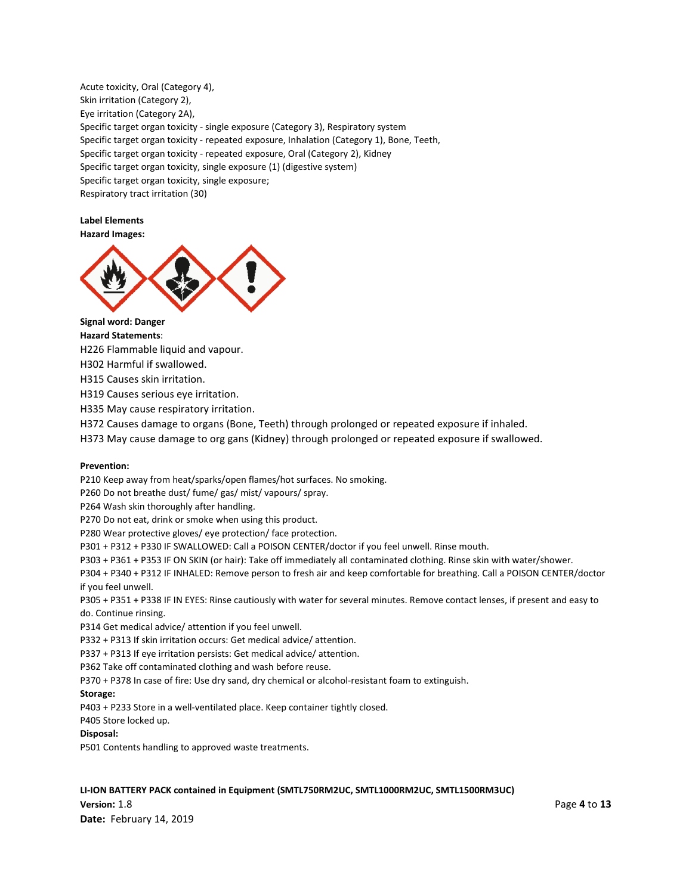Acute toxicity, Oral (Category 4), Skin irritation (Category 2), Eye irritation (Category 2A), Specific target organ toxicity - single exposure (Category 3), Respiratory system Specific target organ toxicity - repeated exposure, Inhalation (Category 1), Bone, Teeth, Specific target organ toxicity - repeated exposure, Oral (Category 2), Kidney Specific target organ toxicity, single exposure (1) (digestive system) Specific target organ toxicity, single exposure; Respiratory tract irritation (30)

#### **Label Elements**

**Hazard Images:**



**Signal word: Danger** 

**Hazard Statements**:

H226 Flammable liquid and vapour.

H302 Harmful if swallowed.

H315 Causes skin irritation.

H319 Causes serious eye irritation.

H335 May cause respiratory irritation.

H372 Causes damage to organs (Bone, Teeth) through prolonged or repeated exposure if inhaled.

H373 May cause damage to org gans (Kidney) through prolonged or repeated exposure if swallowed.

#### **Prevention:**

P210 Keep away from heat/sparks/open flames/hot surfaces. No smoking.

P260 Do not breathe dust/ fume/ gas/ mist/ vapours/ spray.

P264 Wash skin thoroughly after handling.

P270 Do not eat, drink or smoke when using this product.

P280 Wear protective gloves/ eye protection/ face protection.

P301 + P312 + P330 IF SWALLOWED: Call a POISON CENTER/doctor if you feel unwell. Rinse mouth.

P303 + P361 + P353 IF ON SKIN (or hair): Take off immediately all contaminated clothing. Rinse skin with water/shower.

P304 + P340 + P312 IF INHALED: Remove person to fresh air and keep comfortable for breathing. Call a POISON CENTER/doctor if you feel unwell.

P305 + P351 + P338 IF IN EYES: Rinse cautiously with water for several minutes. Remove contact lenses, if present and easy to do. Continue rinsing.

P314 Get medical advice/ attention if you feel unwell.

P332 + P313 If skin irritation occurs: Get medical advice/ attention.

P337 + P313 If eye irritation persists: Get medical advice/ attention.

P362 Take off contaminated clothing and wash before reuse.

P370 + P378 In case of fire: Use dry sand, dry chemical or alcohol-resistant foam to extinguish.

#### **Storage:**

P403 + P233 Store in a well-ventilated place. Keep container tightly closed.

P405 Store locked up.

#### **Disposal:**

P501 Contents handling to approved waste treatments.

**LI-ION BATTERY PACK contained in Equipment (SMTL750RM2UC, SMTL1000RM2UC, SMTL1500RM3UC)**

**Version:** 1.8 Page **4** to **13 Date:** February 14, 2019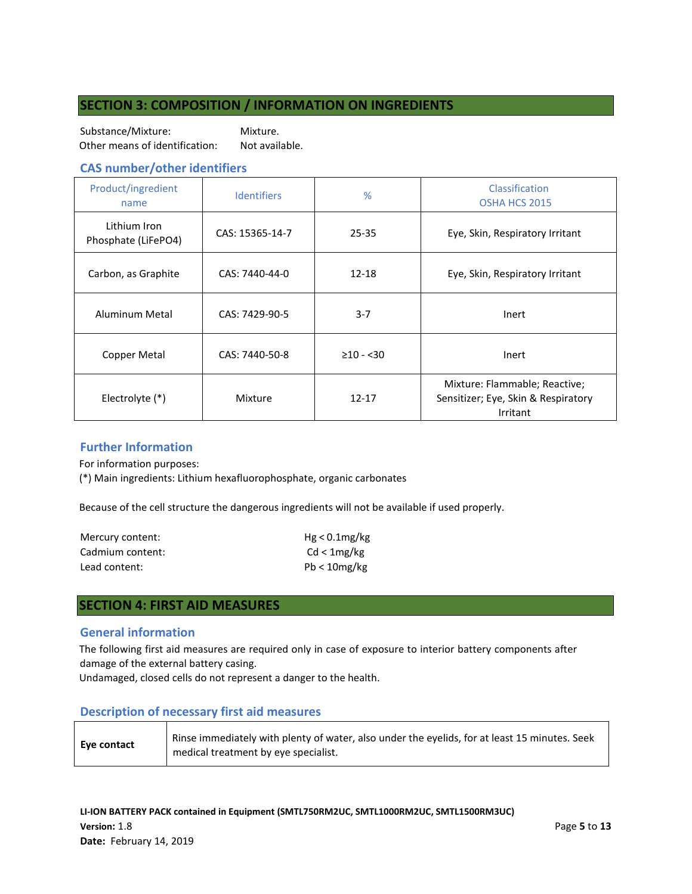## **SECTION 3: COMPOSITION / INFORMATION ON INGREDIENTS**

Substance/Mixture: Mixture. Other means of identification: Not available.

### **CAS number/other identifiers**

| Product/ingredient<br>name          | <b>Identifiers</b> | $\frac{9}{6}$  | Classification<br>OSHA HCS 2015                                                  |
|-------------------------------------|--------------------|----------------|----------------------------------------------------------------------------------|
| Lithium Iron<br>Phosphate (LiFePO4) | CAS: 15365-14-7    | $25 - 35$      | Eye, Skin, Respiratory Irritant                                                  |
| Carbon, as Graphite                 | CAS: 7440-44-0     | $12 - 18$      | Eye, Skin, Respiratory Irritant                                                  |
| Aluminum Metal                      | CAS: 7429-90-5     | $3 - 7$        | Inert                                                                            |
| Copper Metal                        | CAS: 7440-50-8     | $\geq 10 - 30$ | Inert                                                                            |
| Electrolyte (*)                     | Mixture            | $12 - 17$      | Mixture: Flammable; Reactive;<br>Sensitizer; Eye, Skin & Respiratory<br>Irritant |

### **Further Information**

For information purposes:

(\*) Main ingredients: Lithium hexafluorophosphate, organic carbonates

Because of the cell structure the dangerous ingredients will not be available if used properly.

| Mercury content: | $Hg < 0.1$ mg/kg |
|------------------|------------------|
| Cadmium content: | Cd < 1mg/kg      |
| Lead content:    | $Pb < 10$ mg/kg  |

### **SECTION 4: FIRST AID MEASURES**

### **General information**

The following first aid measures are required only in case of exposure to interior battery components after damage of the external battery casing.

Undamaged, closed cells do not represent a danger to the health.

### **Description of necessary first aid measures**

| Eye contact | Rinse immediately with plenty of water, also under the eyelids, for at least 15 minutes. Seek<br>medical treatment by eye specialist. |
|-------------|---------------------------------------------------------------------------------------------------------------------------------------|
|-------------|---------------------------------------------------------------------------------------------------------------------------------------|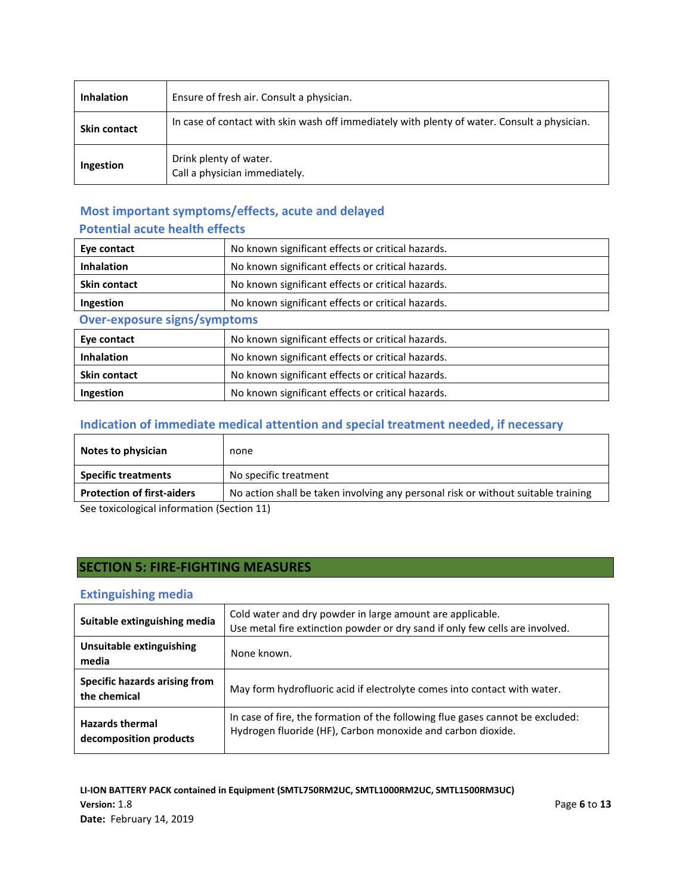| <b>Inhalation</b>   | Ensure of fresh air. Consult a physician.                                                    |
|---------------------|----------------------------------------------------------------------------------------------|
| <b>Skin contact</b> | In case of contact with skin wash off immediately with plenty of water. Consult a physician. |
| Ingestion           | Drink plenty of water.<br>Call a physician immediately.                                      |

# **Most important symptoms/effects, acute and delayed**

## **Potential acute health effects**

| Eye contact                         | No known significant effects or critical hazards. |  |
|-------------------------------------|---------------------------------------------------|--|
| <b>Inhalation</b>                   | No known significant effects or critical hazards. |  |
| <b>Skin contact</b>                 | No known significant effects or critical hazards. |  |
| Ingestion                           | No known significant effects or critical hazards. |  |
| <b>Over-exposure signs/symptoms</b> |                                                   |  |
| Eye contact                         | No known significant effects or critical hazards. |  |
| <b>Inhalation</b>                   | No known significant effects or critical hazards. |  |
| <b>Skin contact</b>                 | No known significant effects or critical hazards. |  |
| Ingestion                           | No known significant effects or critical hazards. |  |

# **Indication of immediate medical attention and special treatment needed, if necessary**

| Notes to physician                         | none                                                                              |  |
|--------------------------------------------|-----------------------------------------------------------------------------------|--|
| <b>Specific treatments</b>                 | No specific treatment                                                             |  |
| <b>Protection of first-aiders</b>          | No action shall be taken involving any personal risk or without suitable training |  |
| See toxicological information (Section 11) |                                                                                   |  |

# **SECTION 5: FIRE-FIGHTING MEASURES**

## **Extinguishing media**

| Suitable extinguishing media                     | Cold water and dry powder in large amount are applicable.<br>Use metal fire extinction powder or dry sand if only few cells are involved.     |
|--------------------------------------------------|-----------------------------------------------------------------------------------------------------------------------------------------------|
| Unsuitable extinguishing<br>media                | None known.                                                                                                                                   |
| Specific hazards arising from<br>the chemical    | May form hydrofluoric acid if electrolyte comes into contact with water.                                                                      |
| <b>Hazards thermal</b><br>decomposition products | In case of fire, the formation of the following flue gases cannot be excluded:<br>Hydrogen fluoride (HF), Carbon monoxide and carbon dioxide. |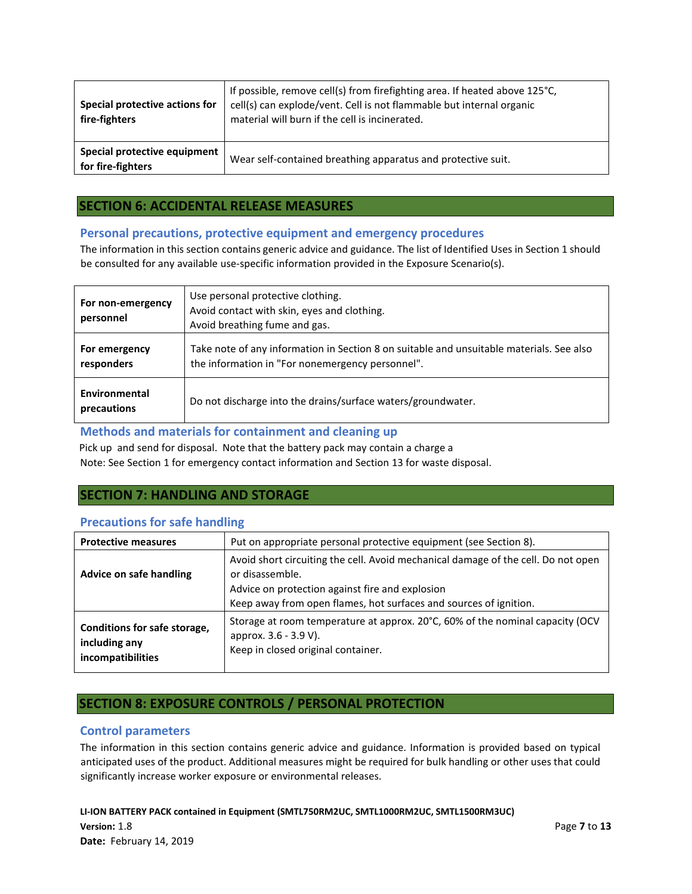| Special protective actions for<br>fire-fighters   | If possible, remove cell(s) from firefighting area. If heated above 125°C,<br>cell(s) can explode/vent. Cell is not flammable but internal organic<br>material will burn if the cell is incinerated. |
|---------------------------------------------------|------------------------------------------------------------------------------------------------------------------------------------------------------------------------------------------------------|
| Special protective equipment<br>for fire-fighters | Wear self-contained breathing apparatus and protective suit.                                                                                                                                         |

## **SECTION 6: ACCIDENTAL RELEASE MEASURES**

### **Personal precautions, protective equipment and emergency procedures**

The information in this section contains generic advice and guidance. The list of Identified Uses in Section 1 should be consulted for any available use-specific information provided in the Exposure Scenario(s).

| For non-emergency<br>personnel | Use personal protective clothing.<br>Avoid contact with skin, eyes and clothing.<br>Avoid breathing fume and gas.                            |
|--------------------------------|----------------------------------------------------------------------------------------------------------------------------------------------|
| For emergency<br>responders    | Take note of any information in Section 8 on suitable and unsuitable materials. See also<br>the information in "For nonemergency personnel". |
| Environmental<br>precautions   | Do not discharge into the drains/surface waters/groundwater.                                                                                 |

### **Methods and materials for containment and cleaning up**

Pick up and send for disposal. Note that the battery pack may contain a charge a Note: See Section 1 for emergency contact information and Section 13 for waste disposal.

## **SECTION 7: HANDLING AND STORAGE**

### **Precautions for safe handling**

| <b>Protective measures</b>                                         | Put on appropriate personal protective equipment (see Section 8).                                                                                                                                                            |
|--------------------------------------------------------------------|------------------------------------------------------------------------------------------------------------------------------------------------------------------------------------------------------------------------------|
| Advice on safe handling                                            | Avoid short circuiting the cell. Avoid mechanical damage of the cell. Do not open<br>or disassemble.<br>Advice on protection against fire and explosion<br>Keep away from open flames, hot surfaces and sources of ignition. |
| Conditions for safe storage,<br>including any<br>incompatibilities | Storage at room temperature at approx. 20°C, 60% of the nominal capacity (OCV<br>approx. 3.6 - 3.9 V).<br>Keep in closed original container.                                                                                 |

## **SECTION 8: EXPOSURE CONTROLS / PERSONAL PROTECTION**

### **Control parameters**

The information in this section contains generic advice and guidance. Information is provided based on typical anticipated uses of the product. Additional measures might be required for bulk handling or other uses that could significantly increase worker exposure or environmental releases.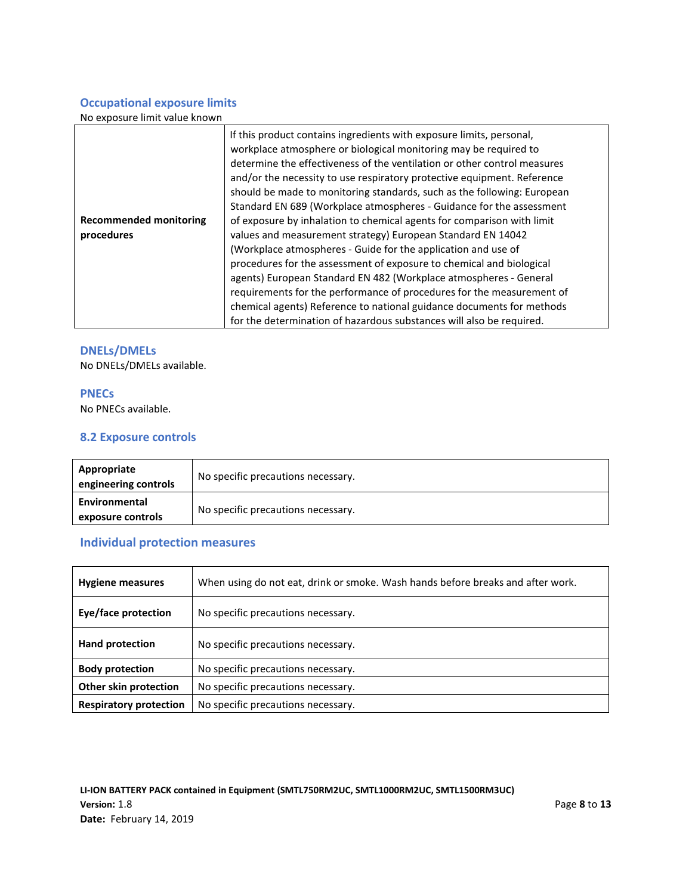## **Occupational exposure limits**

No exposure limit value known

|                               | If this product contains ingredients with exposure limits, personal,<br>workplace atmosphere or biological monitoring may be required to<br>determine the effectiveness of the ventilation or other control measures<br>and/or the necessity to use respiratory protective equipment. Reference<br>should be made to monitoring standards, such as the following: European<br>Standard EN 689 (Workplace atmospheres - Guidance for the assessment |
|-------------------------------|----------------------------------------------------------------------------------------------------------------------------------------------------------------------------------------------------------------------------------------------------------------------------------------------------------------------------------------------------------------------------------------------------------------------------------------------------|
| <b>Recommended monitoring</b> | of exposure by inhalation to chemical agents for comparison with limit                                                                                                                                                                                                                                                                                                                                                                             |
| procedures                    | values and measurement strategy) European Standard EN 14042                                                                                                                                                                                                                                                                                                                                                                                        |
|                               | (Workplace atmospheres - Guide for the application and use of                                                                                                                                                                                                                                                                                                                                                                                      |
|                               | procedures for the assessment of exposure to chemical and biological                                                                                                                                                                                                                                                                                                                                                                               |
|                               | agents) European Standard EN 482 (Workplace atmospheres - General                                                                                                                                                                                                                                                                                                                                                                                  |
|                               | requirements for the performance of procedures for the measurement of                                                                                                                                                                                                                                                                                                                                                                              |
|                               | chemical agents) Reference to national guidance documents for methods                                                                                                                                                                                                                                                                                                                                                                              |
|                               | for the determination of hazardous substances will also be required.                                                                                                                                                                                                                                                                                                                                                                               |

### **DNELs/DMELs**

No DNELs/DMELs available.

### **PNECs**

No PNECs available.

### **8.2 Exposure controls**

| Appropriate<br>engineering controls | No specific precautions necessary. |
|-------------------------------------|------------------------------------|
| Environmental<br>exposure controls  | No specific precautions necessary. |

# **Individual protection measures**

| <b>Hygiene measures</b>       | When using do not eat, drink or smoke. Wash hands before breaks and after work. |  |
|-------------------------------|---------------------------------------------------------------------------------|--|
| Eye/face protection           | No specific precautions necessary.                                              |  |
| <b>Hand protection</b>        | No specific precautions necessary.                                              |  |
| <b>Body protection</b>        | No specific precautions necessary.                                              |  |
| Other skin protection         | No specific precautions necessary.                                              |  |
| <b>Respiratory protection</b> | No specific precautions necessary.                                              |  |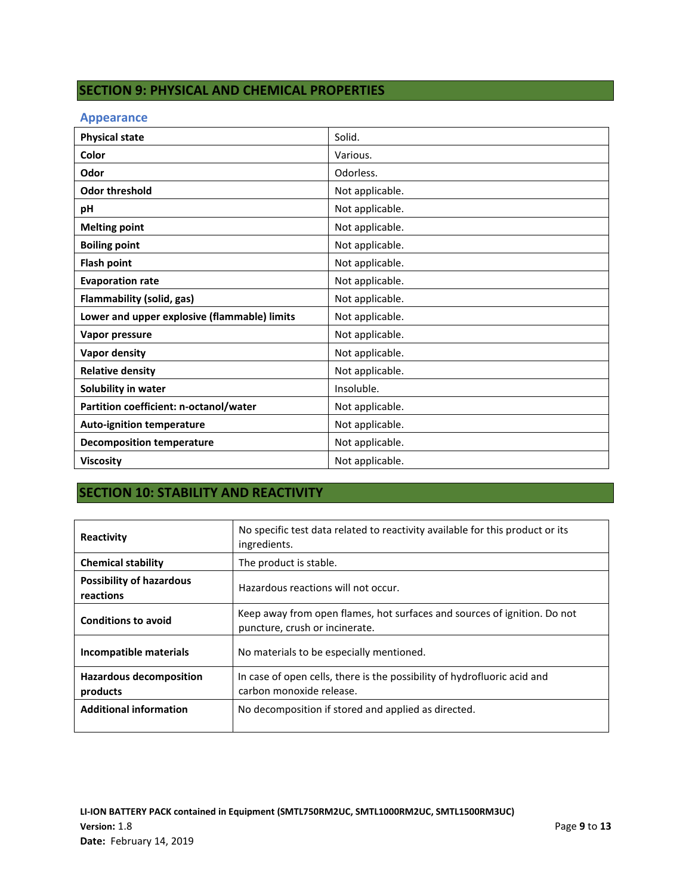# **SECTION 9: PHYSICAL AND CHEMICAL PROPERTIES**

### **Appearance**

| <b>Physical state</b>                        | Solid.          |
|----------------------------------------------|-----------------|
| Color                                        | Various.        |
| Odor                                         | Odorless.       |
| <b>Odor threshold</b>                        | Not applicable. |
| рH                                           | Not applicable. |
| <b>Melting point</b>                         | Not applicable. |
| <b>Boiling point</b>                         | Not applicable. |
| <b>Flash point</b>                           | Not applicable. |
| <b>Evaporation rate</b>                      | Not applicable. |
| Flammability (solid, gas)                    | Not applicable. |
| Lower and upper explosive (flammable) limits | Not applicable. |
| Vapor pressure                               | Not applicable. |
| Vapor density                                | Not applicable. |
| <b>Relative density</b>                      | Not applicable. |
| Solubility in water                          | Insoluble.      |
| Partition coefficient: n-octanol/water       | Not applicable. |
| <b>Auto-ignition temperature</b>             | Not applicable. |
| <b>Decomposition temperature</b>             | Not applicable. |
| <b>Viscosity</b>                             | Not applicable. |

# **SECTION 10: STABILITY AND REACTIVITY**

| Reactivity                                   | No specific test data related to reactivity available for this product or its<br>ingredients.              |
|----------------------------------------------|------------------------------------------------------------------------------------------------------------|
| <b>Chemical stability</b>                    | The product is stable.                                                                                     |
| <b>Possibility of hazardous</b><br>reactions | Hazardous reactions will not occur.                                                                        |
| <b>Conditions to avoid</b>                   | Keep away from open flames, hot surfaces and sources of ignition. Do not<br>puncture, crush or incinerate. |
| Incompatible materials                       | No materials to be especially mentioned.                                                                   |
| <b>Hazardous decomposition</b><br>products   | In case of open cells, there is the possibility of hydrofluoric acid and<br>carbon monoxide release.       |
| <b>Additional information</b>                | No decomposition if stored and applied as directed.                                                        |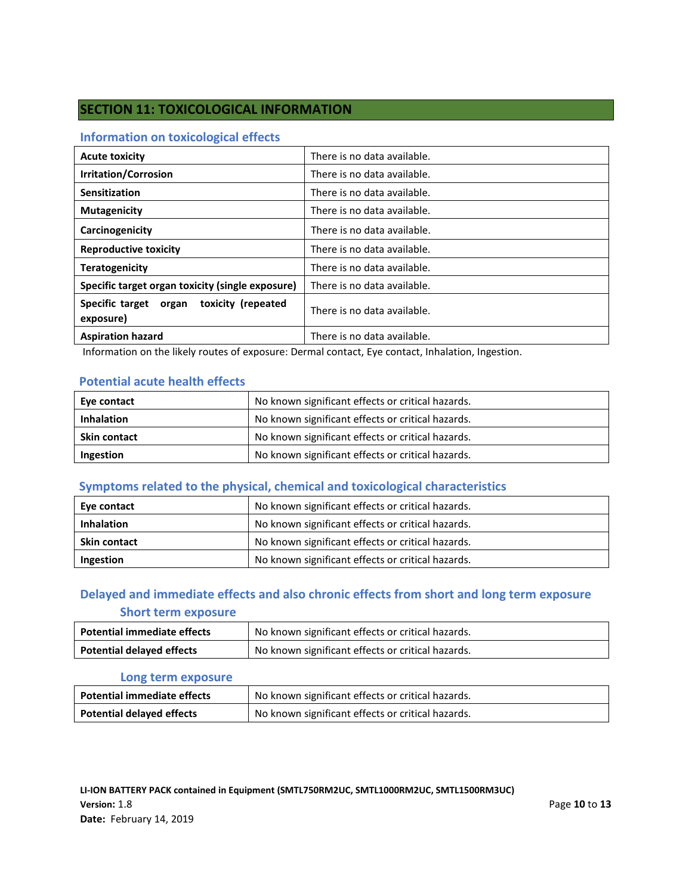## **SECTION 11: TOXICOLOGICAL INFORMATION**

### **Information on toxicological effects**

| <b>Acute toxicity</b>                                 | There is no data available. |
|-------------------------------------------------------|-----------------------------|
| <b>Irritation/Corrosion</b>                           | There is no data available. |
| Sensitization                                         | There is no data available. |
| <b>Mutagenicity</b>                                   | There is no data available. |
| Carcinogenicity                                       | There is no data available. |
| <b>Reproductive toxicity</b>                          | There is no data available. |
| <b>Teratogenicity</b>                                 | There is no data available. |
| Specific target organ toxicity (single exposure)      | There is no data available. |
| Specific target organ toxicity (repeated<br>exposure) | There is no data available. |
| <b>Aspiration hazard</b>                              | There is no data available. |

Information on the likely routes of exposure: Dermal contact, Eye contact, Inhalation, Ingestion.

### **Potential acute health effects**

| Eye contact         | No known significant effects or critical hazards. |
|---------------------|---------------------------------------------------|
| <b>Inhalation</b>   | No known significant effects or critical hazards. |
| <b>Skin contact</b> | No known significant effects or critical hazards. |
| Ingestion           | No known significant effects or critical hazards. |

## **Symptoms related to the physical, chemical and toxicological characteristics**

| Eye contact         | No known significant effects or critical hazards. |
|---------------------|---------------------------------------------------|
| <b>Inhalation</b>   | No known significant effects or critical hazards. |
| <b>Skin contact</b> | No known significant effects or critical hazards. |
| Ingestion           | No known significant effects or critical hazards. |

## **Delayed and immediate effects and also chronic effects from short and long term exposure Short term exposure**

| <b>Potential immediate effects</b> | No known significant effects or critical hazards. |
|------------------------------------|---------------------------------------------------|
| <b>Potential delayed effects</b>   | No known significant effects or critical hazards. |

### **Long term exposure**

| <b>Potential immediate effects</b> | No known significant effects or critical hazards. |
|------------------------------------|---------------------------------------------------|
| <b>Potential delayed effects</b>   | No known significant effects or critical hazards. |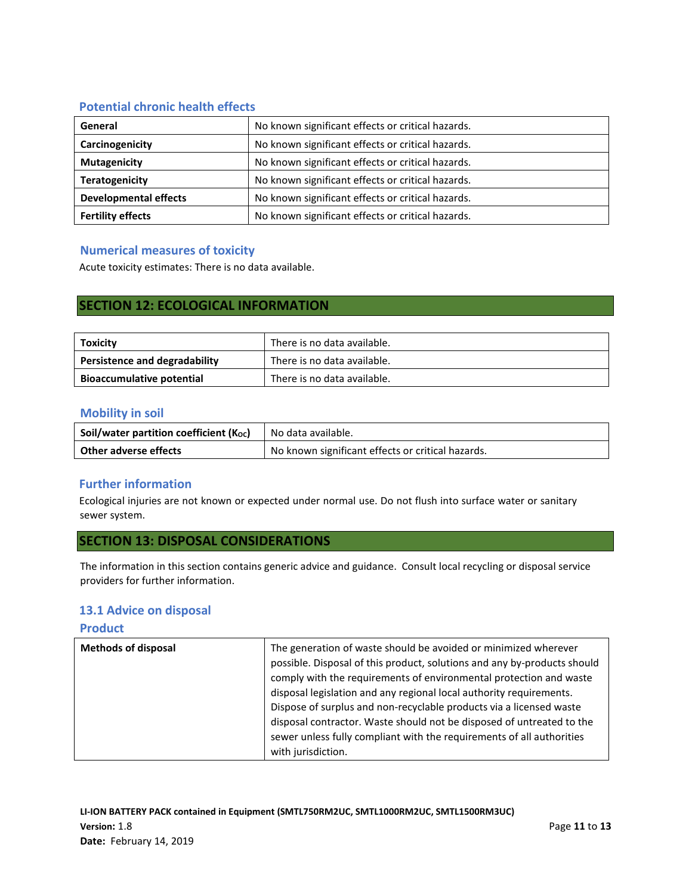## **Potential chronic health effects**

| General                      | No known significant effects or critical hazards. |
|------------------------------|---------------------------------------------------|
| Carcinogenicity              | No known significant effects or critical hazards. |
| <b>Mutagenicity</b>          | No known significant effects or critical hazards. |
| <b>Teratogenicity</b>        | No known significant effects or critical hazards. |
| <b>Developmental effects</b> | No known significant effects or critical hazards. |
| <b>Fertility effects</b>     | No known significant effects or critical hazards. |

### **Numerical measures of toxicity**

Acute toxicity estimates: There is no data available.

## **SECTION 12: ECOLOGICAL INFORMATION**

| Toxicity                             | There is no data available. |
|--------------------------------------|-----------------------------|
| <b>Persistence and degradability</b> | There is no data available. |
| <b>Bioaccumulative potential</b>     | There is no data available. |

### **Mobility in soil**

| Soil/water partition coefficient (Koc) | No data available.                                |
|----------------------------------------|---------------------------------------------------|
| Other adverse effects                  | No known significant effects or critical hazards. |

### **Further information**

Ecological injuries are not known or expected under normal use. Do not flush into surface water or sanitary sewer system.

### **SECTION 13: DISPOSAL CONSIDERATIONS**

The information in this section contains generic advice and guidance. Consult local recycling or disposal service providers for further information.

### **13.1 Advice on disposal**

### **Product**

| <b>Methods of disposal</b> | The generation of waste should be avoided or minimized wherever<br>possible. Disposal of this product, solutions and any by-products should<br>comply with the requirements of environmental protection and waste<br>disposal legislation and any regional local authority requirements.<br>Dispose of surplus and non-recyclable products via a licensed waste<br>disposal contractor. Waste should not be disposed of untreated to the<br>sewer unless fully compliant with the requirements of all authorities |
|----------------------------|-------------------------------------------------------------------------------------------------------------------------------------------------------------------------------------------------------------------------------------------------------------------------------------------------------------------------------------------------------------------------------------------------------------------------------------------------------------------------------------------------------------------|
|                            | with jurisdiction.                                                                                                                                                                                                                                                                                                                                                                                                                                                                                                |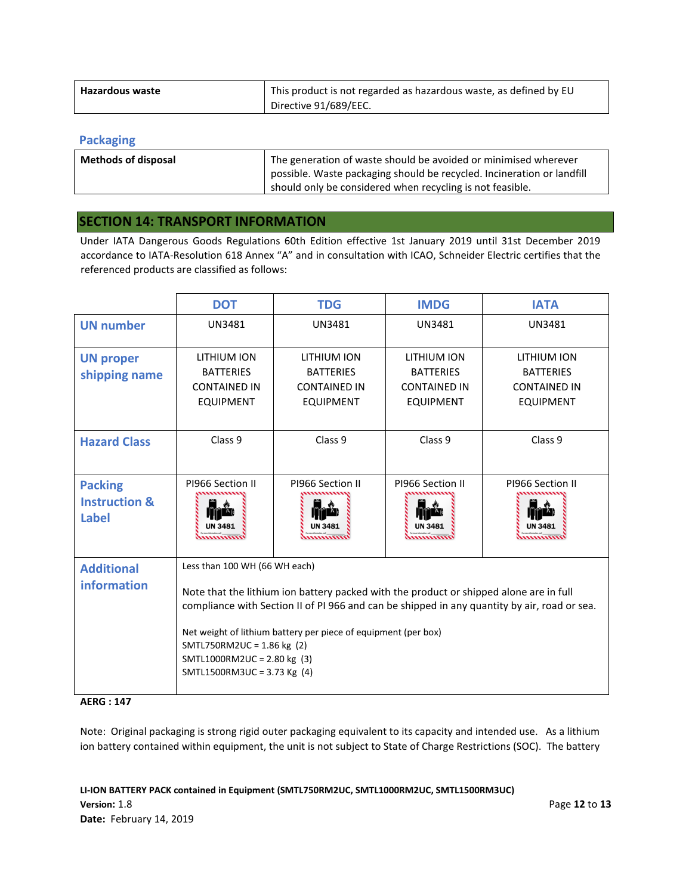| Hazardous waste | This product is not regarded as hazardous waste, as defined by EU |
|-----------------|-------------------------------------------------------------------|
|                 | Directive 91/689/EEC.                                             |

### **Packaging**

| <b>Methods of disposal</b> | The generation of waste should be avoided or minimised wherever<br>possible. Waste packaging should be recycled. Incineration or landfill<br>should only be considered when recycling is not feasible. |
|----------------------------|--------------------------------------------------------------------------------------------------------------------------------------------------------------------------------------------------------|
|                            |                                                                                                                                                                                                        |

### **SECTION 14: TRANSPORT INFORMATION**

Under IATA Dangerous Goods Regulations 60th Edition effective 1st January 2019 until 31st December 2019 accordance to IATA-Resolution 618 Annex "A" and in consultation with ICAO, Schneider Electric certifies that the referenced products are classified as follows:

|                                                            | <b>DOT</b>                                                                                                                                                                                                                                                                                                                                                                            | <b>TDG</b>                                                                 | <b>IMDG</b>                                                                | <b>IATA</b>                                                                |
|------------------------------------------------------------|---------------------------------------------------------------------------------------------------------------------------------------------------------------------------------------------------------------------------------------------------------------------------------------------------------------------------------------------------------------------------------------|----------------------------------------------------------------------------|----------------------------------------------------------------------------|----------------------------------------------------------------------------|
| <b>UN number</b>                                           | UN3481                                                                                                                                                                                                                                                                                                                                                                                | UN3481                                                                     | <b>UN3481</b>                                                              | <b>UN3481</b>                                                              |
| <b>UN proper</b><br>shipping name                          | LITHIUM ION<br><b>BATTERIES</b><br><b>CONTAINED IN</b><br><b>EQUIPMENT</b>                                                                                                                                                                                                                                                                                                            | LITHIUM ION<br><b>BATTERIES</b><br><b>CONTAINED IN</b><br><b>EQUIPMENT</b> | LITHIUM ION<br><b>BATTERIES</b><br><b>CONTAINED IN</b><br><b>EQUIPMENT</b> | LITHIUM ION<br><b>BATTERIES</b><br><b>CONTAINED IN</b><br><b>EQUIPMENT</b> |
| <b>Hazard Class</b>                                        | Class 9                                                                                                                                                                                                                                                                                                                                                                               | Class 9                                                                    | Class 9                                                                    | Class 9                                                                    |
| <b>Packing</b><br><b>Instruction &amp;</b><br><b>Label</b> | PI966 Section II                                                                                                                                                                                                                                                                                                                                                                      | PI966 Section II                                                           | PI966 Section II                                                           | PI966 Section II                                                           |
| <b>Additional</b><br>information                           | Less than 100 WH (66 WH each)<br>Note that the lithium ion battery packed with the product or shipped alone are in full<br>compliance with Section II of PI 966 and can be shipped in any quantity by air, road or sea.<br>Net weight of lithium battery per piece of equipment (per box)<br>SMTL750RM2UC = 1.86 kg (2)<br>SMTL1000RM2UC = 2.80 kg (3)<br>SMTL1500RM3UC = 3.73 Kg (4) |                                                                            |                                                                            |                                                                            |

### **AERG : 147**

Note: Original packaging is strong rigid outer packaging equivalent to its capacity and intended use. As a lithium ion battery contained within equipment, the unit is not subject to State of Charge Restrictions (SOC). The battery

**LI-ION BATTERY PACK contained in Equipment (SMTL750RM2UC, SMTL1000RM2UC, SMTL1500RM3UC) Version:** 1.8 Page **12** to **13 Date:** February 14, 2019